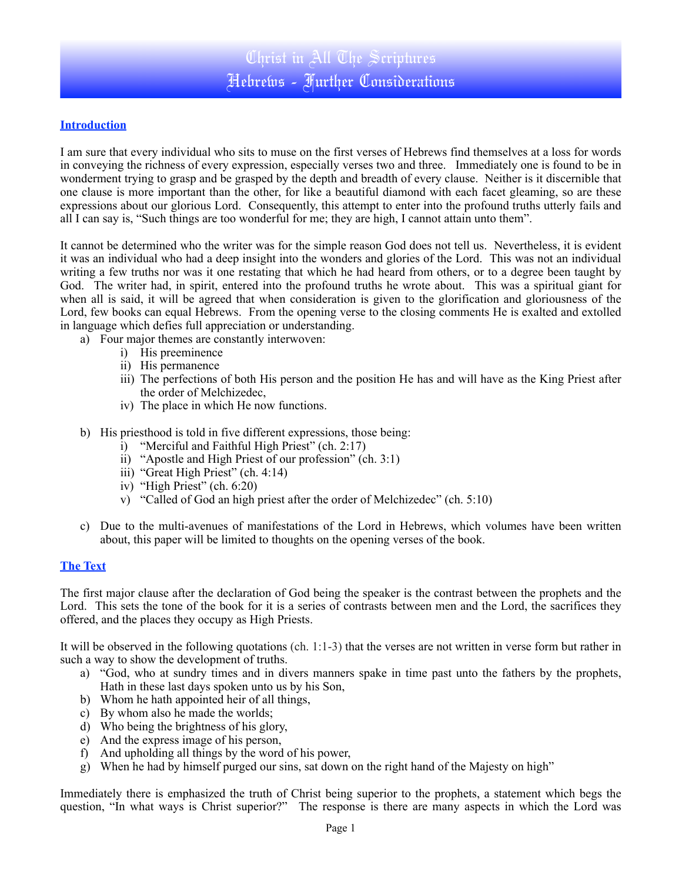# **Introduction**

I am sure that every individual who sits to muse on the first verses of Hebrews find themselves at a loss for words in conveying the richness of every expression, especially verses two and three. Immediately one is found to be in wonderment trying to grasp and be grasped by the depth and breadth of every clause. Neither is it discernible that one clause is more important than the other, for like a beautiful diamond with each facet gleaming, so are these expressions about our glorious Lord. Consequently, this attempt to enter into the profound truths utterly fails and all I can say is, "Such things are too wonderful for me; they are high, I cannot attain unto them".

It cannot be determined who the writer was for the simple reason God does not tell us. Nevertheless, it is evident it was an individual who had a deep insight into the wonders and glories of the Lord. This was not an individual writing a few truths nor was it one restating that which he had heard from others, or to a degree been taught by God. The writer had, in spirit, entered into the profound truths he wrote about. This was a spiritual giant for when all is said, it will be agreed that when consideration is given to the glorification and gloriousness of the Lord, few books can equal Hebrews. From the opening verse to the closing comments He is exalted and extolled in language which defies full appreciation or understanding.

- a) Four major themes are constantly interwoven:
	- i) His preeminence
	- ii) His permanence
	- iii) The perfections of both His person and the position He has and will have as the King Priest after the order of Melchizedec,
	- iv) The place in which He now functions.
- b) His priesthood is told in five different expressions, those being:
	- i) "Merciful and Faithful High Priest" (ch. 2:17)
	- ii) "Apostle and High Priest of our profession" (ch. 3:1)
	- iii) "Great High Priest" (ch. 4:14)
	- iv) "High Priest" (ch. 6:20)
	- v) "Called of God an high priest after the order of Melchizedec" (ch. 5:10)
- c) Due to the multi-avenues of manifestations of the Lord in Hebrews, which volumes have been written about, this paper will be limited to thoughts on the opening verses of the book.

## **The Text**

The first major clause after the declaration of God being the speaker is the contrast between the prophets and the Lord. This sets the tone of the book for it is a series of contrasts between men and the Lord, the sacrifices they offered, and the places they occupy as High Priests.

It will be observed in the following quotations (ch. 1:1-3) that the verses are not written in verse form but rather in such a way to show the development of truths.

- a) "God, who at sundry times and in divers manners spake in time past unto the fathers by the prophets, Hath in these last days spoken unto us by his Son,
- b) Whom he hath appointed heir of all things,
- c) By whom also he made the worlds;
- d) Who being the brightness of his glory,
- e) And the express image of his person,
- f) And upholding all things by the word of his power,
- g) When he had by himself purged our sins, sat down on the right hand of the Majesty on high"

Immediately there is emphasized the truth of Christ being superior to the prophets, a statement which begs the question, "In what ways is Christ superior?" The response is there are many aspects in which the Lord was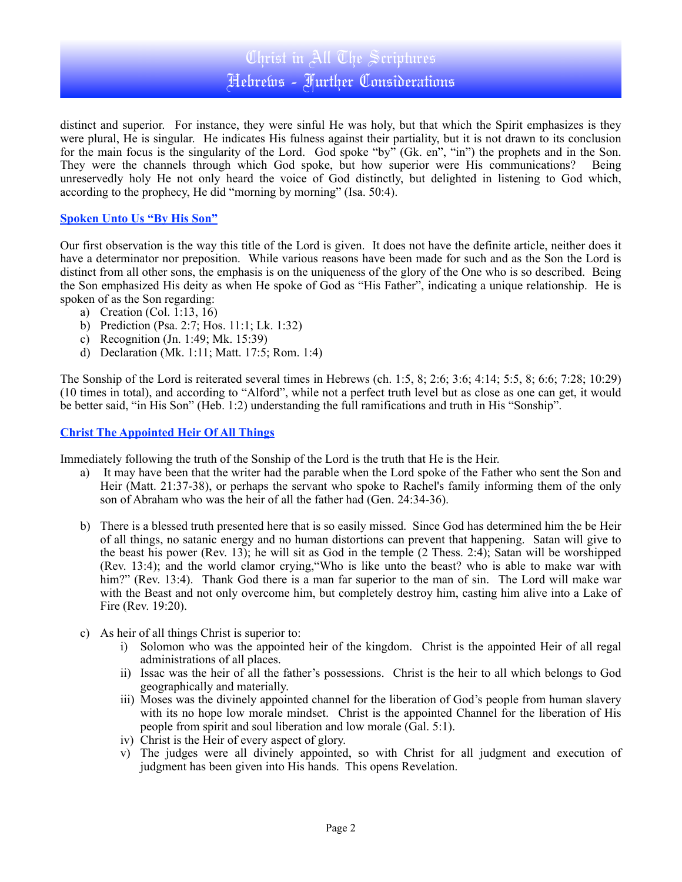# Christ in All The Scriptures Hebrews - Further Considerations

distinct and superior. For instance, they were sinful He was holy, but that which the Spirit emphasizes is they were plural, He is singular. He indicates His fulness against their partiality, but it is not drawn to its conclusion for the main focus is the singularity of the Lord. God spoke "by" (Gk. en", "in") the prophets and in the Son. They were the channels through which God spoke, but how superior were His communications? Being unreservedly holy He not only heard the voice of God distinctly, but delighted in listening to God which, according to the prophecy, He did "morning by morning" (Isa. 50:4).

## **Spoken Unto Us "By His Son"**

Our first observation is the way this title of the Lord is given. It does not have the definite article, neither does it have a determinator nor preposition. While various reasons have been made for such and as the Son the Lord is distinct from all other sons, the emphasis is on the uniqueness of the glory of the One who is so described. Being the Son emphasized His deity as when He spoke of God as "His Father", indicating a unique relationship. He is spoken of as the Son regarding:

- a) Creation (Col. 1:13, 16)
- b) Prediction (Psa. 2:7; Hos. 11:1; Lk. 1:32)
- c) Recognition (Jn. 1:49; Mk. 15:39)
- d) Declaration (Mk. 1:11; Matt. 17:5; Rom. 1:4)

The Sonship of the Lord is reiterated several times in Hebrews (ch. 1:5, 8; 2:6; 3:6; 4:14; 5:5, 8; 6:6; 7:28; 10:29) (10 times in total), and according to "Alford", while not a perfect truth level but as close as one can get, it would be better said, "in His Son" (Heb. 1:2) understanding the full ramifications and truth in His "Sonship".

## **Christ The Appointed Heir Of All Things**

Immediately following the truth of the Sonship of the Lord is the truth that He is the Heir.

- a) It may have been that the writer had the parable when the Lord spoke of the Father who sent the Son and Heir (Matt. 21:37-38), or perhaps the servant who spoke to Rachel's family informing them of the only son of Abraham who was the heir of all the father had (Gen. 24:34-36).
- b) There is a blessed truth presented here that is so easily missed. Since God has determined him the be Heir of all things, no satanic energy and no human distortions can prevent that happening. Satan will give to the beast his power (Rev. 13); he will sit as God in the temple (2 Thess. 2:4); Satan will be worshipped (Rev. 13:4); and the world clamor crying,"Who is like unto the beast? who is able to make war with him?" (Rev. 13:4). Thank God there is a man far superior to the man of sin. The Lord will make war with the Beast and not only overcome him, but completely destroy him, casting him alive into a Lake of Fire (Rev. 19:20).
- c) As heir of all things Christ is superior to:
	- i) Solomon who was the appointed heir of the kingdom. Christ is the appointed Heir of all regal administrations of all places.
	- ii) Issac was the heir of all the father's possessions. Christ is the heir to all which belongs to God geographically and materially.
	- iii) Moses was the divinely appointed channel for the liberation of God's people from human slavery with its no hope low morale mindset. Christ is the appointed Channel for the liberation of His people from spirit and soul liberation and low morale (Gal. 5:1).
	- iv) Christ is the Heir of every aspect of glory.
	- v) The judges were all divinely appointed, so with Christ for all judgment and execution of judgment has been given into His hands. This opens Revelation.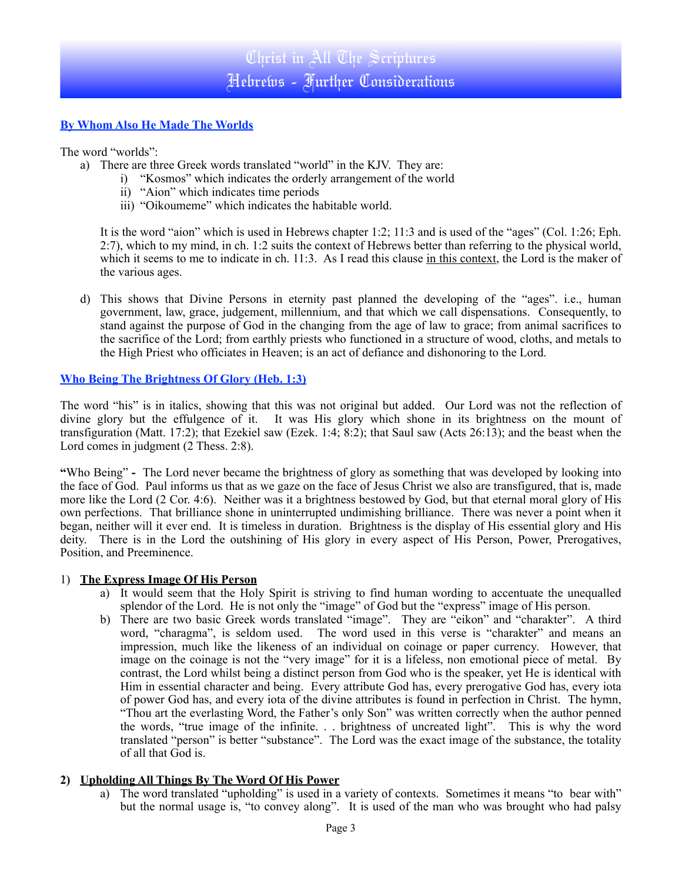# **By Whom Also He Made The Worlds**

The word "worlds":

- a) There are three Greek words translated "world" in the KJV. They are:
	- i) "Kosmos" which indicates the orderly arrangement of the world
		- ii) "Aion" which indicates time periods
		- iii) "Oikoumeme" which indicates the habitable world.

It is the word "aion" which is used in Hebrews chapter 1:2; 11:3 and is used of the "ages" (Col. 1:26; Eph. 2:7), which to my mind, in ch. 1:2 suits the context of Hebrews better than referring to the physical world, which it seems to me to indicate in ch. 11:3. As I read this clause in this context, the Lord is the maker of the various ages.

d) This shows that Divine Persons in eternity past planned the developing of the "ages". i.e., human government, law, grace, judgement, millennium, and that which we call dispensations. Consequently, to stand against the purpose of God in the changing from the age of law to grace; from animal sacrifices to the sacrifice of the Lord; from earthly priests who functioned in a structure of wood, cloths, and metals to the High Priest who officiates in Heaven; is an act of defiance and dishonoring to the Lord.

#### **Who Being The Brightness Of Glory (Heb. 1:3)**

The word "his" is in italics, showing that this was not original but added. Our Lord was not the reflection of divine glory but the effulgence of it. It was His glory which shone in its brightness on the mount of transfiguration (Matt. 17:2); that Ezekiel saw (Ezek. 1:4; 8:2); that Saul saw (Acts 26:13); and the beast when the Lord comes in judgment (2 Thess. 2:8).

**"**Who Being" **-** The Lord never became the brightness of glory as something that was developed by looking into the face of God.Paul informs us that as we gaze on the face of Jesus Christ we also are transfigured, that is, made more like the Lord (2 Cor. 4:6). Neither was it a brightness bestowed by God, but that eternal moral glory of His own perfections. That brilliance shone in uninterrupted undimishing brilliance. There was never a point when it began, neither will it ever end. It is timeless in duration. Brightness is the display of His essential glory and His deity. There is in the Lord the outshining of His glory in every aspect of His Person, Power, Prerogatives, Position, and Preeminence.

#### 1) **The Express Image Of His Person**

- a) It would seem that the Holy Spirit is striving to find human wording to accentuate the unequalled splendor of the Lord. He is not only the "image" of God but the "express" image of His person.
- b) There are two basic Greek words translated "image". They are "eikon" and "charakter". A third word, "charagma", is seldom used. The word used in this verse is "charakter" and means an impression, much like the likeness of an individual on coinage or paper currency. However, that image on the coinage is not the "very image" for it is a lifeless, non emotional piece of metal. By contrast, the Lord whilst being a distinct person from God who is the speaker, yet He is identical with Him in essential character and being. Every attribute God has, every prerogative God has, every iota of power God has, and every iota of the divine attributes is found in perfection in Christ. The hymn, "Thou art the everlasting Word, the Father's only Son" was written correctly when the author penned the words, "true image of the infinite. . . brightness of uncreated light". This is why the word translated "person" is better "substance". The Lord was the exact image of the substance, the totality of all that God is.

## **2) Upholding All Things By The Word Of His Power**

a) The word translated "upholding" is used in a variety of contexts. Sometimes it means "to bear with" but the normal usage is, "to convey along". It is used of the man who was brought who had palsy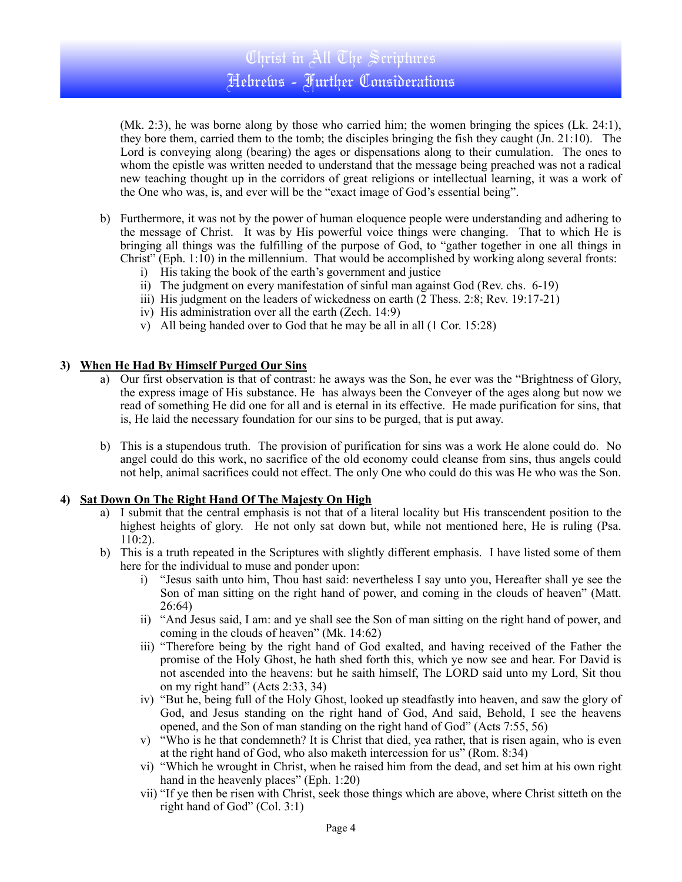(Mk. 2:3), he was borne along by those who carried him; the women bringing the spices (Lk. 24:1), they bore them, carried them to the tomb; the disciples bringing the fish they caught (Jn. 21:10). The Lord is conveying along (bearing) the ages or dispensations along to their cumulation. The ones to whom the epistle was written needed to understand that the message being preached was not a radical new teaching thought up in the corridors of great religions or intellectual learning, it was a work of the One who was, is, and ever will be the "exact image of God's essential being".

- b) Furthermore, it was not by the power of human eloquence people were understanding and adhering to the message of Christ. It was by His powerful voice things were changing. That to which He is bringing all things was the fulfilling of the purpose of God, to "gather together in one all things in Christ" (Eph. 1:10) in the millennium. That would be accomplished by working along several fronts:
	- i) His taking the book of the earth's government and justice
	- ii) The judgment on every manifestation of sinful man against God (Rev. chs. 6-19)
	- iii) His judgment on the leaders of wickedness on earth (2 Thess. 2:8; Rev. 19:17-21)
	- iv) His administration over all the earth (Zech. 14:9)
	- v) All being handed over to God that he may be all in all (1 Cor. 15:28)

#### **3) When He Had By Himself Purged Our Sins**

- a) Our first observation is that of contrast: he aways was the Son, he ever was the "Brightness of Glory, the express image of His substance. He has always been the Conveyer of the ages along but now we read of something He did one for all and is eternal in its effective. He made purification for sins, that is, He laid the necessary foundation for our sins to be purged, that is put away.
- b) This is a stupendous truth. The provision of purification for sins was a work He alone could do. No angel could do this work, no sacrifice of the old economy could cleanse from sins, thus angels could not help, animal sacrifices could not effect. The only One who could do this was He who was the Son.

## **4) Sat Down On The Right Hand Of The Majesty On High**

- a) I submit that the central emphasis is not that of a literal locality but His transcendent position to the highest heights of glory. He not only sat down but, while not mentioned here, He is ruling (Psa. 110:2).
- b) This is a truth repeated in the Scriptures with slightly different emphasis. I have listed some of them here for the individual to muse and ponder upon:
	- i) "Jesus saith unto him, Thou hast said: nevertheless I say unto you, Hereafter shall ye see the Son of man sitting on the right hand of power, and coming in the clouds of heaven" (Matt. 26:64)
	- ii) "And Jesus said, I am: and ye shall see the Son of man sitting on the right hand of power, and coming in the clouds of heaven" (Mk. 14:62)
	- iii) "Therefore being by the right hand of God exalted, and having received of the Father the promise of the Holy Ghost, he hath shed forth this, which ye now see and hear. For David is not ascended into the heavens: but he saith himself, The LORD said unto my Lord, Sit thou on my right hand" (Acts 2:33, 34)
	- iv) "But he, being full of the Holy Ghost, looked up steadfastly into heaven, and saw the glory of God, and Jesus standing on the right hand of God, And said, Behold, I see the heavens opened, and the Son of man standing on the right hand of God" (Acts 7:55, 56)
	- v) "Who is he that condemneth? It is Christ that died, yea rather, that is risen again, who is even at the right hand of God, who also maketh intercession for us" (Rom. 8:34)
	- vi) "Which he wrought in Christ, when he raised him from the dead, and set him at his own right hand in the heavenly places" (Eph. 1:20)
	- vii) "If ye then be risen with Christ, seek those things which are above, where Christ sitteth on the right hand of God" (Col. 3:1)